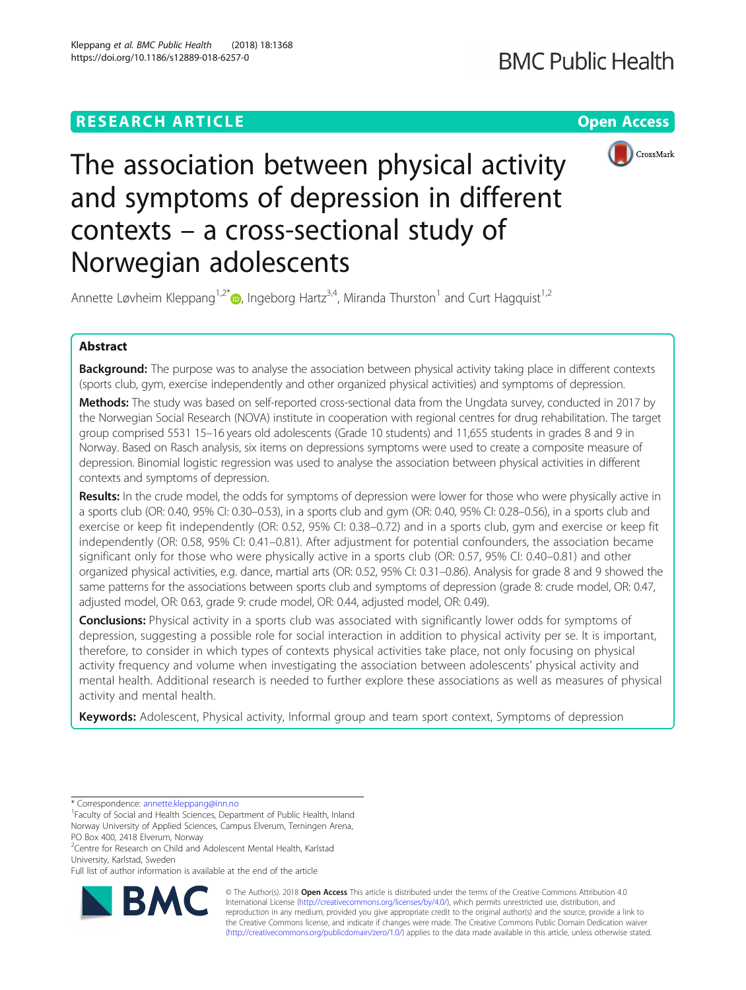# **RESEARCH ARTICLE Example 2018 12:30 The Contract of Contract Contract Contract Contract Contract Contract Contract Contract Contract Contract Contract Contract Contract Contract Contract Contract Contract Contract Contr**



# The association between physical activity and symptoms of depression in different contexts – a cross-sectional study of Norwegian adolescents

Annette Løvheim Kleppang<sup>1[,](http://orcid.org/0000-0002-3844-4745)2\*</sup> $\bullet$ , Ingeborg Hartz<sup>3,4</sup>, Miranda Thurston<sup>1</sup> and Curt Hagquist<sup>1,2</sup>

# Abstract

Background: The purpose was to analyse the association between physical activity taking place in different contexts (sports club, gym, exercise independently and other organized physical activities) and symptoms of depression.

Methods: The study was based on self-reported cross-sectional data from the Ungdata survey, conducted in 2017 by the Norwegian Social Research (NOVA) institute in cooperation with regional centres for drug rehabilitation. The target group comprised 5531 15–16 years old adolescents (Grade 10 students) and 11,655 students in grades 8 and 9 in Norway. Based on Rasch analysis, six items on depressions symptoms were used to create a composite measure of depression. Binomial logistic regression was used to analyse the association between physical activities in different contexts and symptoms of depression.

Results: In the crude model, the odds for symptoms of depression were lower for those who were physically active in a sports club (OR: 0.40, 95% CI: 0.30–0.53), in a sports club and gym (OR: 0.40, 95% CI: 0.28–0.56), in a sports club and exercise or keep fit independently (OR: 0.52, 95% CI: 0.38–0.72) and in a sports club, gym and exercise or keep fit independently (OR: 0.58, 95% CI: 0.41–0.81). After adjustment for potential confounders, the association became significant only for those who were physically active in a sports club (OR: 0.57, 95% CI: 0.40–0.81) and other organized physical activities, e.g. dance, martial arts (OR: 0.52, 95% CI: 0.31–0.86). Analysis for grade 8 and 9 showed the same patterns for the associations between sports club and symptoms of depression (grade 8: crude model, OR: 0.47, adjusted model, OR: 0.63, grade 9: crude model, OR: 0.44, adjusted model, OR: 0.49).

**Conclusions:** Physical activity in a sports club was associated with significantly lower odds for symptoms of depression, suggesting a possible role for social interaction in addition to physical activity per se. It is important, therefore, to consider in which types of contexts physical activities take place, not only focusing on physical activity frequency and volume when investigating the association between adolescents' physical activity and mental health. Additional research is needed to further explore these associations as well as measures of physical activity and mental health.

Keywords: Adolescent, Physical activity, Informal group and team sport context, Symptoms of depression

\* Correspondence: [annette.kleppang@inn.no](mailto:annette.kleppang@inn.no) <sup>1</sup>

<sup>2</sup> Centre for Research on Child and Adolescent Mental Health, Karlstad

University, Karlstad, Sweden

Full list of author information is available at the end of the article



© The Author(s). 2018 Open Access This article is distributed under the terms of the Creative Commons Attribution 4.0 International License [\(http://creativecommons.org/licenses/by/4.0/](http://creativecommons.org/licenses/by/4.0/)), which permits unrestricted use, distribution, and reproduction in any medium, provided you give appropriate credit to the original author(s) and the source, provide a link to the Creative Commons license, and indicate if changes were made. The Creative Commons Public Domain Dedication waiver [\(http://creativecommons.org/publicdomain/zero/1.0/](http://creativecommons.org/publicdomain/zero/1.0/)) applies to the data made available in this article, unless otherwise stated.

<sup>&</sup>lt;sup>1</sup>Faculty of Social and Health Sciences, Department of Public Health, Inland Norway University of Applied Sciences, Campus Elverum, Terningen Arena, PO Box 400, 2418 Elverum, Norway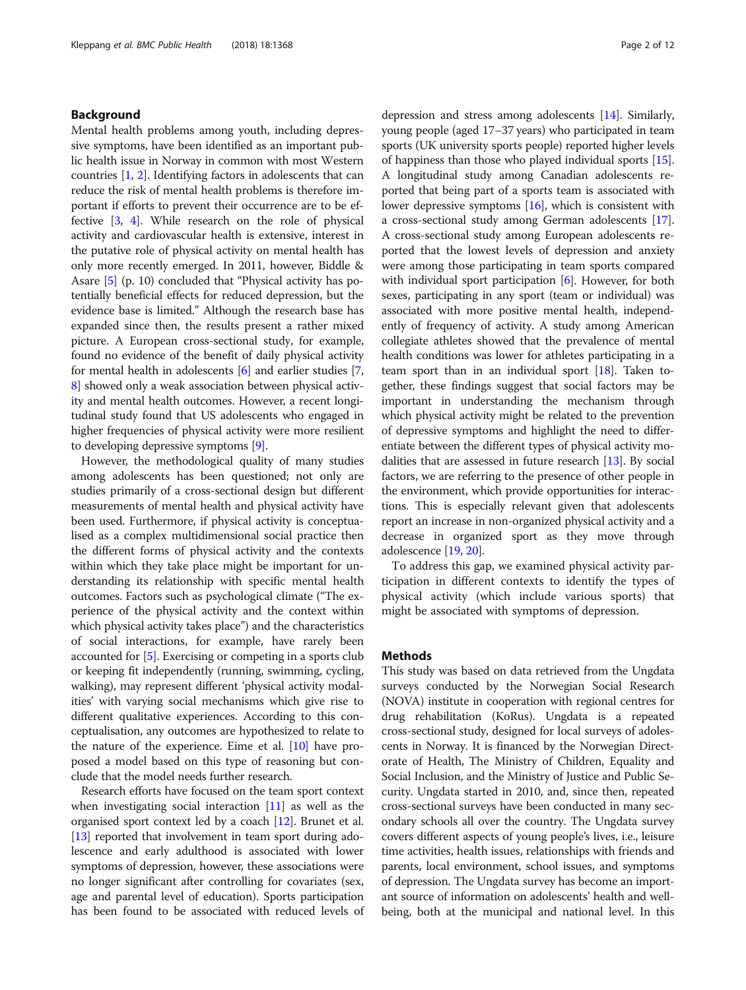# Background

Mental health problems among youth, including depressive symptoms, have been identified as an important public health issue in Norway in common with most Western countries [[1,](#page-11-0) [2](#page-11-0)]. Identifying factors in adolescents that can reduce the risk of mental health problems is therefore important if efforts to prevent their occurrence are to be effective [\[3](#page-11-0), [4\]](#page-11-0). While research on the role of physical activity and cardiovascular health is extensive, interest in the putative role of physical activity on mental health has only more recently emerged. In 2011, however, Biddle & Asare [[5\]](#page-11-0) (p. 10) concluded that "Physical activity has potentially beneficial effects for reduced depression, but the evidence base is limited." Although the research base has expanded since then, the results present a rather mixed picture. A European cross-sectional study, for example, found no evidence of the benefit of daily physical activity for mental health in adolescents [[6](#page-11-0)] and earlier studies [[7](#page-11-0), [8\]](#page-11-0) showed only a weak association between physical activity and mental health outcomes. However, a recent longitudinal study found that US adolescents who engaged in higher frequencies of physical activity were more resilient to developing depressive symptoms [[9\]](#page-11-0).

However, the methodological quality of many studies among adolescents has been questioned; not only are studies primarily of a cross-sectional design but different measurements of mental health and physical activity have been used. Furthermore, if physical activity is conceptualised as a complex multidimensional social practice then the different forms of physical activity and the contexts within which they take place might be important for understanding its relationship with specific mental health outcomes. Factors such as psychological climate ("The experience of the physical activity and the context within which physical activity takes place") and the characteristics of social interactions, for example, have rarely been accounted for [\[5](#page-11-0)]. Exercising or competing in a sports club or keeping fit independently (running, swimming, cycling, walking), may represent different 'physical activity modalities' with varying social mechanisms which give rise to different qualitative experiences. According to this conceptualisation, any outcomes are hypothesized to relate to the nature of the experience. Eime et al. [[10](#page-11-0)] have proposed a model based on this type of reasoning but conclude that the model needs further research.

Research efforts have focused on the team sport context when investigating social interaction [\[11\]](#page-11-0) as well as the organised sport context led by a coach [[12](#page-11-0)]. Brunet et al. [[13](#page-11-0)] reported that involvement in team sport during adolescence and early adulthood is associated with lower symptoms of depression, however, these associations were no longer significant after controlling for covariates (sex, age and parental level of education). Sports participation has been found to be associated with reduced levels of depression and stress among adolescents [\[14\]](#page-11-0). Similarly, young people (aged 17–37 years) who participated in team sports (UK university sports people) reported higher levels of happiness than those who played individual sports [[15](#page-11-0)]. A longitudinal study among Canadian adolescents reported that being part of a sports team is associated with lower depressive symptoms [\[16\]](#page-11-0), which is consistent with a cross-sectional study among German adolescents [[17](#page-11-0)]. A cross-sectional study among European adolescents reported that the lowest levels of depression and anxiety were among those participating in team sports compared with individual sport participation [[6](#page-11-0)]. However, for both sexes, participating in any sport (team or individual) was associated with more positive mental health, independently of frequency of activity. A study among American collegiate athletes showed that the prevalence of mental health conditions was lower for athletes participating in a team sport than in an individual sport [[18\]](#page-11-0). Taken together, these findings suggest that social factors may be important in understanding the mechanism through which physical activity might be related to the prevention of depressive symptoms and highlight the need to differentiate between the different types of physical activity modalities that are assessed in future research [[13](#page-11-0)]. By social factors, we are referring to the presence of other people in the environment, which provide opportunities for interactions. This is especially relevant given that adolescents report an increase in non-organized physical activity and a decrease in organized sport as they move through adolescence [[19,](#page-11-0) [20\]](#page-11-0).

To address this gap, we examined physical activity participation in different contexts to identify the types of physical activity (which include various sports) that might be associated with symptoms of depression.

### Methods

This study was based on data retrieved from the Ungdata surveys conducted by the Norwegian Social Research (NOVA) institute in cooperation with regional centres for drug rehabilitation (KoRus). Ungdata is a repeated cross-sectional study, designed for local surveys of adolescents in Norway. It is financed by the Norwegian Directorate of Health, The Ministry of Children, Equality and Social Inclusion, and the Ministry of Justice and Public Security. Ungdata started in 2010, and, since then, repeated cross-sectional surveys have been conducted in many secondary schools all over the country. The Ungdata survey covers different aspects of young people's lives, i.e., leisure time activities, health issues, relationships with friends and parents, local environment, school issues, and symptoms of depression. The Ungdata survey has become an important source of information on adolescents' health and wellbeing, both at the municipal and national level. In this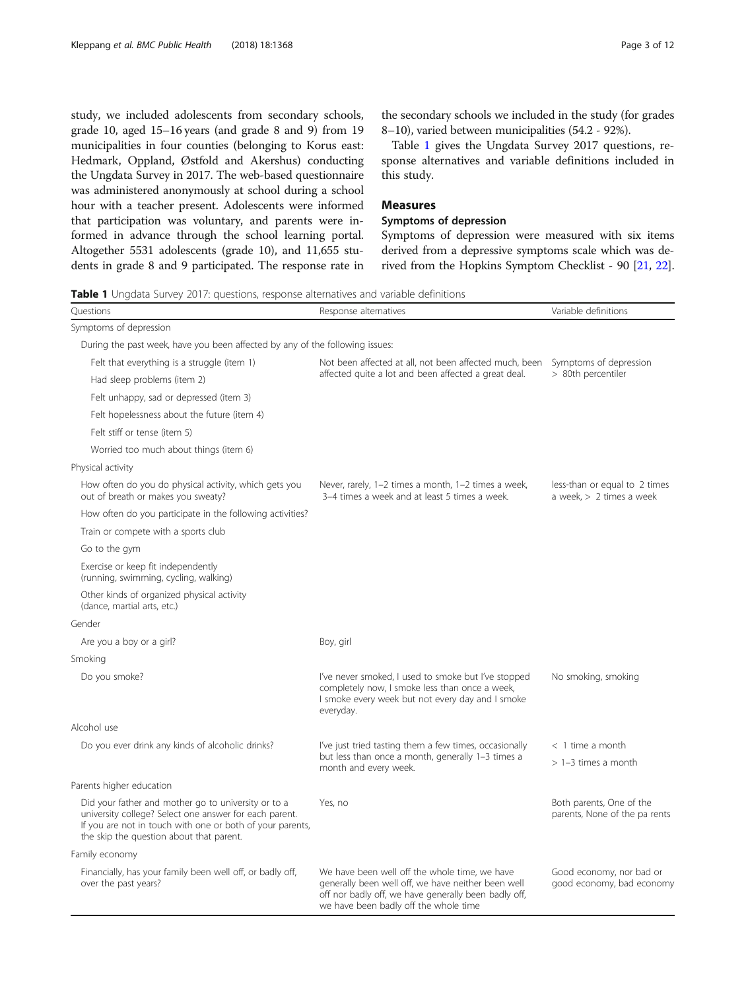study, we included adolescents from secondary schools, grade 10, aged 15–16 years (and grade 8 and 9) from 19 municipalities in four counties (belonging to Korus east: Hedmark, Oppland, Østfold and Akershus) conducting the Ungdata Survey in 2017. The web-based questionnaire was administered anonymously at school during a school hour with a teacher present. Adolescents were informed that participation was voluntary, and parents were informed in advance through the school learning portal. Altogether 5531 adolescents (grade 10), and 11,655 students in grade 8 and 9 participated. The response rate in the secondary schools we included in the study (for grades 8–10), varied between municipalities (54.2 - 92%).

Table 1 gives the Ungdata Survey 2017 questions, response alternatives and variable definitions included in this study.

# Measures

# Symptoms of depression

Symptoms of depression were measured with six items derived from a depressive symptoms scale which was derived from the Hopkins Symptom Checklist - 90 [[21](#page-11-0), [22](#page-11-0)].

Table 1 Ungdata Survey 2017: questions, response alternatives and variable definitions

| Ouestions                                                                                                                                                                                                              | Response alternatives                                                                                                                                                                                | Variable definitions                                        |
|------------------------------------------------------------------------------------------------------------------------------------------------------------------------------------------------------------------------|------------------------------------------------------------------------------------------------------------------------------------------------------------------------------------------------------|-------------------------------------------------------------|
| Symptoms of depression                                                                                                                                                                                                 |                                                                                                                                                                                                      |                                                             |
| During the past week, have you been affected by any of the following issues:                                                                                                                                           |                                                                                                                                                                                                      |                                                             |
| Felt that everything is a struggle (item 1)                                                                                                                                                                            | Not been affected at all, not been affected much, been                                                                                                                                               | Symptoms of depression                                      |
| Had sleep problems (item 2)                                                                                                                                                                                            | affected quite a lot and been affected a great deal.                                                                                                                                                 | > 80th percentiler                                          |
| Felt unhappy, sad or depressed (item 3)                                                                                                                                                                                |                                                                                                                                                                                                      |                                                             |
| Felt hopelessness about the future (item 4)                                                                                                                                                                            |                                                                                                                                                                                                      |                                                             |
| Felt stiff or tense (item 5)                                                                                                                                                                                           |                                                                                                                                                                                                      |                                                             |
| Worried too much about things (item 6)                                                                                                                                                                                 |                                                                                                                                                                                                      |                                                             |
| Physical activity                                                                                                                                                                                                      |                                                                                                                                                                                                      |                                                             |
| How often do you do physical activity, which gets you<br>out of breath or makes you sweaty?                                                                                                                            | Never, rarely, 1-2 times a month, 1-2 times a week,<br>3-4 times a week and at least 5 times a week.                                                                                                 | less-than or equal to 2 times<br>a week, $> 2$ times a week |
| How often do you participate in the following activities?                                                                                                                                                              |                                                                                                                                                                                                      |                                                             |
| Train or compete with a sports club                                                                                                                                                                                    |                                                                                                                                                                                                      |                                                             |
| Go to the gym                                                                                                                                                                                                          |                                                                                                                                                                                                      |                                                             |
| Exercise or keep fit independently<br>(running, swimming, cycling, walking)                                                                                                                                            |                                                                                                                                                                                                      |                                                             |
| Other kinds of organized physical activity<br>(dance, martial arts, etc.)                                                                                                                                              |                                                                                                                                                                                                      |                                                             |
| Gender                                                                                                                                                                                                                 |                                                                                                                                                                                                      |                                                             |
| Are you a boy or a girl?                                                                                                                                                                                               | Boy, girl                                                                                                                                                                                            |                                                             |
| Smoking                                                                                                                                                                                                                |                                                                                                                                                                                                      |                                                             |
| Do you smoke?                                                                                                                                                                                                          | I've never smoked, I used to smoke but I've stopped<br>completely now, I smoke less than once a week,<br>I smoke every week but not every day and I smoke<br>everyday.                               | No smoking, smoking                                         |
| Alcohol use                                                                                                                                                                                                            |                                                                                                                                                                                                      |                                                             |
| Do you ever drink any kinds of alcoholic drinks?                                                                                                                                                                       | I've just tried tasting them a few times, occasionally<br>but less than once a month, generally 1-3 times a<br>month and every week.                                                                 | $<$ 1 time a month<br>$> 1-3$ times a month                 |
| Parents higher education                                                                                                                                                                                               |                                                                                                                                                                                                      |                                                             |
| Did your father and mother go to university or to a<br>university college? Select one answer for each parent.<br>If you are not in touch with one or both of your parents,<br>the skip the question about that parent. | Yes, no                                                                                                                                                                                              | Both parents, One of the<br>parents, None of the pa rents   |
| Family economy                                                                                                                                                                                                         |                                                                                                                                                                                                      |                                                             |
| Financially, has your family been well off, or badly off,<br>over the past years?                                                                                                                                      | We have been well off the whole time, we have<br>generally been well off, we have neither been well<br>off nor badly off, we have generally been badly off,<br>we have been badly off the whole time | Good economy, nor bad or<br>good economy, bad economy       |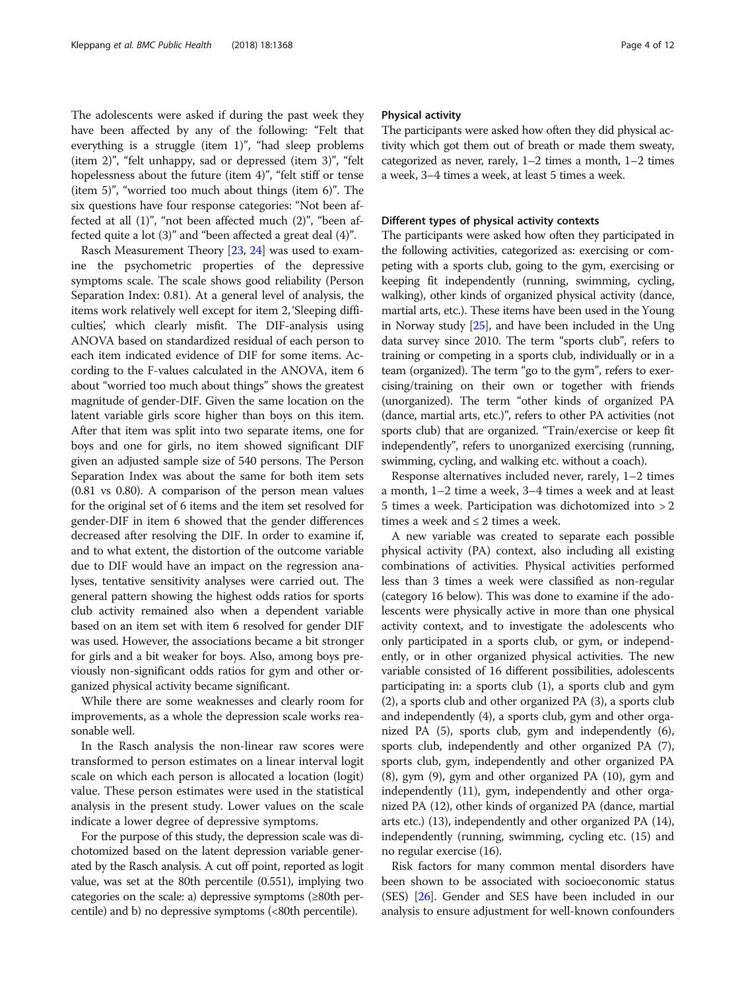The adolescents were asked if during the past week they have been affected by any of the following: "Felt that everything is a struggle (item 1)", "had sleep problems (item 2)", "felt unhappy, sad or depressed (item 3)", "felt hopelessness about the future (item 4)", "felt stiff or tense (item 5)", "worried too much about things (item 6)". The six questions have four response categories: "Not been affected at all (1)", "not been affected much (2)", "been affected quite a lot (3)" and "been affected a great deal (4)".

Rasch Measurement Theory [[23](#page-11-0), [24](#page-11-0)] was used to examine the psychometric properties of the depressive symptoms scale. The scale shows good reliability (Person Separation Index: 0.81). At a general level of analysis, the items work relatively well except for item 2, 'Sleeping difficulties', which clearly misfit. The DIF-analysis using ANOVA based on standardized residual of each person to each item indicated evidence of DIF for some items. According to the F-values calculated in the ANOVA, item 6 about "worried too much about things" shows the greatest magnitude of gender-DIF. Given the same location on the latent variable girls score higher than boys on this item. After that item was split into two separate items, one for boys and one for girls, no item showed significant DIF given an adjusted sample size of 540 persons. The Person Separation Index was about the same for both item sets (0.81 vs 0.80). A comparison of the person mean values for the original set of 6 items and the item set resolved for gender-DIF in item 6 showed that the gender differences decreased after resolving the DIF. In order to examine if, and to what extent, the distortion of the outcome variable due to DIF would have an impact on the regression analyses, tentative sensitivity analyses were carried out. The general pattern showing the highest odds ratios for sports club activity remained also when a dependent variable based on an item set with item 6 resolved for gender DIF was used. However, the associations became a bit stronger for girls and a bit weaker for boys. Also, among boys previously non-significant odds ratios for gym and other organized physical activity became significant.

While there are some weaknesses and clearly room for improvements, as a whole the depression scale works reasonable well.

In the Rasch analysis the non-linear raw scores were transformed to person estimates on a linear interval logit scale on which each person is allocated a location (logit) value. These person estimates were used in the statistical analysis in the present study. Lower values on the scale indicate a lower degree of depressive symptoms.

For the purpose of this study, the depression scale was dichotomized based on the latent depression variable generated by the Rasch analysis. A cut off point, reported as logit value, was set at the 80th percentile (0.551), implying two categories on the scale: a) depressive symptoms (≥80th percentile) and b) no depressive symptoms (<80th percentile).

## Physical activity

The participants were asked how often they did physical activity which got them out of breath or made them sweaty, categorized as never, rarely, 1–2 times a month, 1–2 times a week, 3–4 times a week, at least 5 times a week.

# Different types of physical activity contexts

The participants were asked how often they participated in the following activities, categorized as: exercising or competing with a sports club, going to the gym, exercising or keeping fit independently (running, swimming, cycling, walking), other kinds of organized physical activity (dance, martial arts, etc.). These items have been used in the Young in Norway study [\[25](#page-11-0)], and have been included in the Ung data survey since 2010. The term "sports club", refers to training or competing in a sports club, individually or in a team (organized). The term "go to the gym", refers to exercising/training on their own or together with friends (unorganized). The term "other kinds of organized PA (dance, martial arts, etc.)", refers to other PA activities (not sports club) that are organized. "Train/exercise or keep fit independently", refers to unorganized exercising (running, swimming, cycling, and walking etc. without a coach).

Response alternatives included never, rarely, 1–2 times a month, 1–2 time a week, 3–4 times a week and at least 5 times a week. Participation was dichotomized into > 2 times a week and  $\leq 2$  times a week.

A new variable was created to separate each possible physical activity (PA) context, also including all existing combinations of activities. Physical activities performed less than 3 times a week were classified as non-regular (category 16 below). This was done to examine if the adolescents were physically active in more than one physical activity context, and to investigate the adolescents who only participated in a sports club, or gym, or independently, or in other organized physical activities. The new variable consisted of 16 different possibilities, adolescents participating in: a sports club (1), a sports club and gym (2), a sports club and other organized PA (3), a sports club and independently (4), a sports club, gym and other organized PA (5), sports club, gym and independently (6), sports club, independently and other organized PA (7), sports club, gym, independently and other organized PA (8), gym (9), gym and other organized PA (10), gym and independently (11), gym, independently and other organized PA (12), other kinds of organized PA (dance, martial arts etc.) (13), independently and other organized PA (14), independently (running, swimming, cycling etc. (15) and no regular exercise (16).

Risk factors for many common mental disorders have been shown to be associated with socioeconomic status (SES) [[26\]](#page-11-0). Gender and SES have been included in our analysis to ensure adjustment for well-known confounders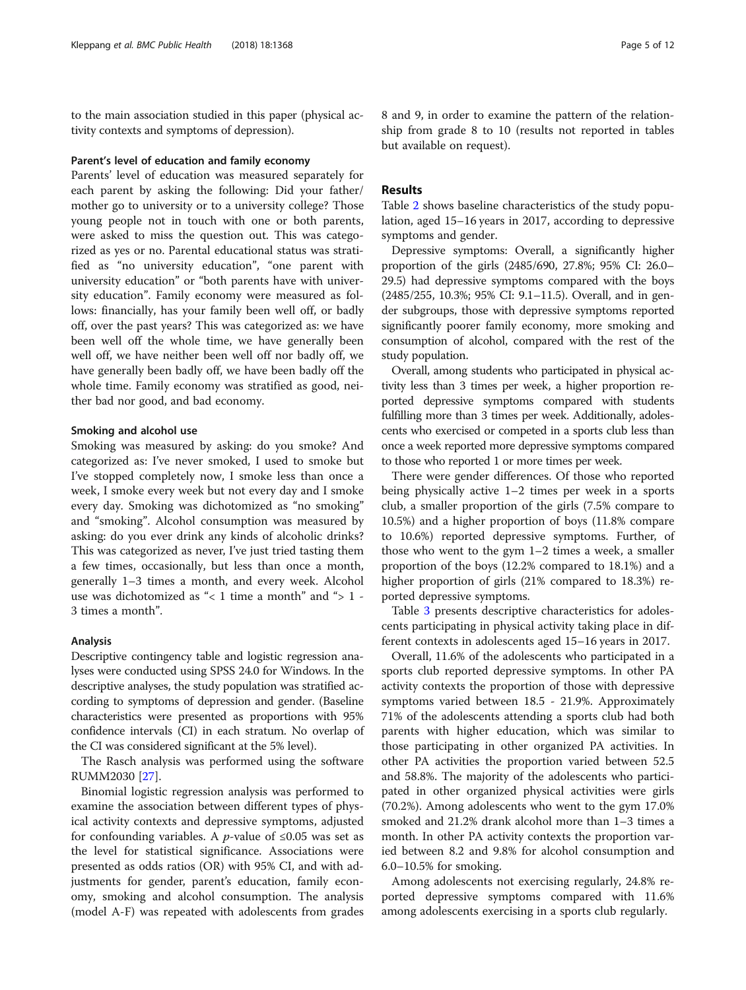to the main association studied in this paper (physical activity contexts and symptoms of depression).

#### Parent's level of education and family economy

Parents' level of education was measured separately for each parent by asking the following: Did your father/ mother go to university or to a university college? Those young people not in touch with one or both parents, were asked to miss the question out. This was categorized as yes or no. Parental educational status was stratified as "no university education", "one parent with university education" or "both parents have with university education". Family economy were measured as follows: financially, has your family been well off, or badly off, over the past years? This was categorized as: we have been well off the whole time, we have generally been well off, we have neither been well off nor badly off, we have generally been badly off, we have been badly off the whole time. Family economy was stratified as good, neither bad nor good, and bad economy.

# Smoking and alcohol use

Smoking was measured by asking: do you smoke? And categorized as: I've never smoked, I used to smoke but I've stopped completely now, I smoke less than once a week, I smoke every week but not every day and I smoke every day. Smoking was dichotomized as "no smoking" and "smoking". Alcohol consumption was measured by asking: do you ever drink any kinds of alcoholic drinks? This was categorized as never, I've just tried tasting them a few times, occasionally, but less than once a month, generally 1–3 times a month, and every week. Alcohol use was dichotomized as "< 1 time a month" and ">1- 3 times a month".

# Analysis

Descriptive contingency table and logistic regression analyses were conducted using SPSS 24.0 for Windows. In the descriptive analyses, the study population was stratified according to symptoms of depression and gender. (Baseline characteristics were presented as proportions with 95% confidence intervals (CI) in each stratum. No overlap of the CI was considered significant at the 5% level).

The Rasch analysis was performed using the software RUMM2030 [[27\]](#page-11-0).

Binomial logistic regression analysis was performed to examine the association between different types of physical activity contexts and depressive symptoms, adjusted for confounding variables. A *p*-value of  $\leq 0.05$  was set as the level for statistical significance. Associations were presented as odds ratios (OR) with 95% CI, and with adjustments for gender, parent's education, family economy, smoking and alcohol consumption. The analysis (model A-F) was repeated with adolescents from grades 8 and 9, in order to examine the pattern of the relationship from grade 8 to 10 (results not reported in tables but available on request).

# Results

Table [2](#page-5-0) shows baseline characteristics of the study population, aged 15–16 years in 2017, according to depressive symptoms and gender.

Depressive symptoms: Overall, a significantly higher proportion of the girls (2485/690, 27.8%; 95% CI: 26.0– 29.5) had depressive symptoms compared with the boys (2485/255, 10.3%; 95% CI: 9.1–11.5). Overall, and in gender subgroups, those with depressive symptoms reported significantly poorer family economy, more smoking and consumption of alcohol, compared with the rest of the study population.

Overall, among students who participated in physical activity less than 3 times per week, a higher proportion reported depressive symptoms compared with students fulfilling more than 3 times per week. Additionally, adolescents who exercised or competed in a sports club less than once a week reported more depressive symptoms compared to those who reported 1 or more times per week.

There were gender differences. Of those who reported being physically active 1–2 times per week in a sports club, a smaller proportion of the girls (7.5% compare to 10.5%) and a higher proportion of boys (11.8% compare to 10.6%) reported depressive symptoms. Further, of those who went to the gym 1–2 times a week, a smaller proportion of the boys (12.2% compared to 18.1%) and a higher proportion of girls (21% compared to 18.3%) reported depressive symptoms.

Table [3](#page-7-0) presents descriptive characteristics for adolescents participating in physical activity taking place in different contexts in adolescents aged 15–16 years in 2017.

Overall, 11.6% of the adolescents who participated in a sports club reported depressive symptoms. In other PA activity contexts the proportion of those with depressive symptoms varied between 18.5 - 21.9%. Approximately 71% of the adolescents attending a sports club had both parents with higher education, which was similar to those participating in other organized PA activities. In other PA activities the proportion varied between 52.5 and 58.8%. The majority of the adolescents who participated in other organized physical activities were girls (70.2%). Among adolescents who went to the gym 17.0% smoked and 21.2% drank alcohol more than 1–3 times a month. In other PA activity contexts the proportion varied between 8.2 and 9.8% for alcohol consumption and 6.0–10.5% for smoking.

Among adolescents not exercising regularly, 24.8% reported depressive symptoms compared with 11.6% among adolescents exercising in a sports club regularly.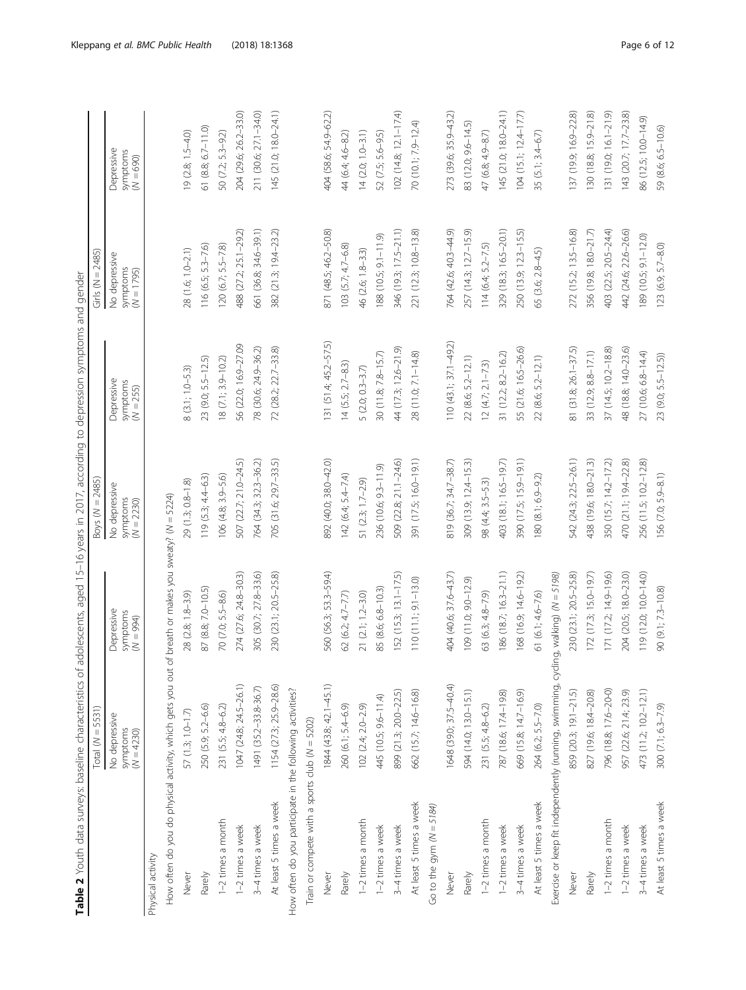<span id="page-5-0"></span>

| <b>Allentary</b> Characteristic Character Character Character Character Character Character Character Character Character Character Character Character Character Character Character Character Character Character Character Chara | Total $(W = 5531)$                        | Nonescence Supplement of the S        | UU 2012<br>=<br>Boys ( $N = 2485$ )       | us circularis, rise distribution of the same of the same of the same of the same of the same of the same of the | Girls (N = 2485)                          |                                       |
|-------------------------------------------------------------------------------------------------------------------------------------------------------------------------------------------------------------------------------------|-------------------------------------------|---------------------------------------|-------------------------------------------|-----------------------------------------------------------------------------------------------------------------|-------------------------------------------|---------------------------------------|
|                                                                                                                                                                                                                                     | No depressive<br>symptoms<br>$(N = 4230)$ | Depressive<br>symptoms<br>$(N = 994)$ | No depressive<br>symptoms<br>$(N = 2230)$ | Depressive<br>symptoms<br>$(N = 255)$                                                                           | No depressive<br>symptoms<br>$(N = 1795)$ | Depressive<br>symptoms<br>$(N = 690)$ |
| Physical activity                                                                                                                                                                                                                   |                                           |                                       |                                           |                                                                                                                 |                                           |                                       |
| How often do you do physical activity, which gets you out of breath or makes you sweaty? (N = 5224)                                                                                                                                 |                                           |                                       |                                           |                                                                                                                 |                                           |                                       |
| Never                                                                                                                                                                                                                               | 57 (1.3; 1.0-1.7)                         | 28 (2.8; 1.8-3.9)                     | $29(1.3; 0.8 - 1.8)$                      | $8(3.1; 1.0 - 5.3)$                                                                                             | 28 (1.6; 1.0-2.1)                         | $19(2.8; 1.5 - 4.0)$                  |
| Rarely                                                                                                                                                                                                                              | 250 (5.9; 5.2-6.6)                        | 87 (8.8; 7.0-10.5)                    | $119(5.3; 4.4-6.3)$                       | 23 (9.0; 5.5-12.5)                                                                                              | $116(6.5; 5.3 - 7.6)$                     | $61(8.8; 6.7 - 11.0)$                 |
| 1-2 times a month                                                                                                                                                                                                                   | 231 (5.5; 4.8-6.2)                        | 70 (7.0; 5.5-8.6)                     | $106(4.8; 3.9 - 5.6)$                     | 18 (7.1; 3.9-10.2)                                                                                              | $120(6.7; 5.5 - 7.8)$                     | 50 (7.2; 5.3-9.2)                     |
| 1-2 times a week                                                                                                                                                                                                                    | 1047 (24.8; 24.5-26.1)                    | 274 (27.6; 24.8-30.3)                 | 507 (22.7; 21.0-24.5)                     | 56 (220; 16.9-27.09                                                                                             | 488 (27.2; 25.1-29.2)                     | 204 (29.6; 26.2-33.0)                 |
| 3-4 times a week                                                                                                                                                                                                                    | 1491 (35.2-33.8-36.7)                     | 305 (30.7; 27.8-33.6)                 | 764 (34.3; 32.3-36.2)                     | 78 (30.6; 24.9-36.2)                                                                                            | 661 (36.8; 34.6-39.1)                     | 211 (30.6; 27.1-34.0)                 |
| At least 5 times a week                                                                                                                                                                                                             | 1154 (27.3; 25.9-28.6)                    | 230 (23.1; 20.5-25.8)                 | 705 (31.6; 29.7-33.5)                     | 72 (28.2; 22.7-33.8)                                                                                            | 382 (21.3; 19.4-23.2)                     | 145 (21.0; 18.0-24.1)                 |
| How often do you participate in the following activities?                                                                                                                                                                           |                                           |                                       |                                           |                                                                                                                 |                                           |                                       |
| Train or compete with a sports club ( $N = 5202$ )                                                                                                                                                                                  |                                           |                                       |                                           |                                                                                                                 |                                           |                                       |
| Never                                                                                                                                                                                                                               | 1844 (43.8; 42.1-45.1)                    | 560 (56.3; 53.3-59.4)                 | 892 (40.0; 38.0-42.0)                     | 131 (51.4; 45.2-57.5)                                                                                           | 871 (48.5; 46.2-50.8)                     | 404 (58.6; 54.9-62.2)                 |
| Rarely                                                                                                                                                                                                                              | 260 (6.1; 5.4-6.9)                        | 62 (6.2; 4.7-7.7)                     | $142(6.4; 5.4 - 7.4)$                     | $14$ $(5.5; 2.7 - 8.3)$                                                                                         | 103 (5.7; 4.7-6.8)                        | 44 (6.4; 4.6-8.2)                     |
| 1-2 times a month                                                                                                                                                                                                                   | 102 (2.4; 2.0-2.9)                        | $21(2.1; 1.2 - 3.0)$                  | 51 (2.3; 1.7-2.9)                         | $5(2.0; 0.3 - 3.7)$                                                                                             | 46 (2.6; 1.8-3.3)                         | $14$ (2.0; $1.0 - 3.1$ )              |
| 1-2 times a week                                                                                                                                                                                                                    | 445 (10.5; 9.6-11.4)                      | 85 (8.6; 6.8-10.3)                    | 236 (10.6; 9.3-11.9)                      | 30 $(11.8; 7.8 - 15.7)$                                                                                         | 188 (10.5; 9.1-11.9)                      | 52 (7.5; 5.6-9.5)                     |
| 3-4 times a week                                                                                                                                                                                                                    | 899 (21.3; 20.0-22.5)                     | 152 (15.3; 13.1-17.5)                 | 509 (22.8; 21.1-24.6)                     | 44 (17.3; 12.6-21.9)                                                                                            | 346 (19.3; 17.5-21.1)                     | $102(148; 12.1 - 17.4)$               |
| At least 5 times a week                                                                                                                                                                                                             | 662 (15.7; 14.6-16.8)                     | $110(11.1; 9.1 - 13.0)$               | 391 (17.5; 16.0-19.1)                     | 28 (11.0; 7.1-14.8)                                                                                             | 221 (12.3; 10.8-13.8)                     | 70 (10.1; 7.9-12.4)                   |
| Go to the gym $(N = 5184)$                                                                                                                                                                                                          |                                           |                                       |                                           |                                                                                                                 |                                           |                                       |
| Never                                                                                                                                                                                                                               | 1648 (39.0; 37.5-40.4)                    | 404 (40.6; 37.6-43.7)                 | 819 (36.7; 34.7-38.7)                     | 110 (43.1; 37.1-49.2)                                                                                           | 764 (42.6; 40.3-44.9)                     | 273 (39.6; 35.9-43.2)                 |
| Rarely                                                                                                                                                                                                                              | 594 (14.0; 13.0-15.1)                     | 109 (11.0; 9.0-12.9)                  | 309 (13.9; 12.4-15.3)                     | 22 (8.6; 5.2-12.1)                                                                                              | 257 (14.3; 12.7-15.9)                     | 83 (12.0; 9.6-14.5)                   |
| 1-2 times a month                                                                                                                                                                                                                   | 231 (5.5; 4.8-6.2)                        | $53(6.3; 4.8 - 7.9)$                  | 98 (4.4; 3.5-5.3)                         | $12$ (4.7; 2.1-7.3)                                                                                             | $114(6.4; 5.2 - 7.5)$                     | 47 (6.8; 4.9-8.7)                     |
| 1-2 times a week                                                                                                                                                                                                                    | 787 (18.6; 17.4-19.8)                     | 186 (18.7; 16.3-21.1)                 | 403 (18.1; 16.5-19.7)                     | 31 (122; 8.2-16.2)                                                                                              | 329 (18.3; 16.5-20.1)                     | 145 (21.0; 18.0-24.1)                 |
| 3-4 times a week                                                                                                                                                                                                                    | 669 (15.8; 14.7-16.9)                     | 168 (16.9; 14.6-19.2)                 | 390 (17.5; 15.9-19.1)                     | 55 (21.6; 16.5-26.6)                                                                                            | 250 (13.9; 12.3-15.5)                     | $104(15.1; 12.4-17.7)$                |
| At least 5 times a week                                                                                                                                                                                                             | 264 (6.2; 5.5-7.0)                        | $61(6.1; 46 - 7.6)$                   | 180 (8.1; 6.9–9.2)                        | 22 (8.6; 5.2-12.1)                                                                                              | 65 (3.6; 2.8-4.5)                         | 35 $(5.1; 3.4 - 6.7)$                 |
| Exercise or keep fit independently (running, swimming, cycli                                                                                                                                                                        |                                           | ng, walking) (N = 5198)               |                                           |                                                                                                                 |                                           |                                       |
| Never                                                                                                                                                                                                                               | 859 (20.3; 19.1-21.5)                     | 230 (23.1; 20.5-25.8)                 | 542 (24.3; 22.5-26.1)                     | 81 (31.8; 26.1-37.5)                                                                                            | 272 (15.2; 13.5-16.8)                     | 137 (199; 16.9-22.8)                  |
| Rarely                                                                                                                                                                                                                              | 827 (19.6; 18.4-20.8)                     | $172(17.3; 15.0 - 19.7)$              | 438 (19.6; 18.0-21.3)                     | 33 (12.9; 8.8-17.1)                                                                                             | 356 (19.8; 18.0-21.7)                     | 130 (188; 15.9-21.8)                  |
| 1-2 times a month                                                                                                                                                                                                                   | 796 (18.8; 17.6-20-0)                     | 171 (17.2; 14.9-19.6)                 | 350 (15.7; 14.2-17.2)                     | 37 (14.5; 10.2-18.8)                                                                                            | 403 (22.5; 20.5-24.4)                     | 131 (19.0; 16.1-21.9)                 |
| 1-2 times a week                                                                                                                                                                                                                    | 957 (22.6; 21.4; 23.9)                    | 204 (20.5; 18.0-23.0)                 | 470 (21.1; 19.4-22.8)                     | 48 (18.8; 14.0-23.6)                                                                                            | 442 (24.6; 22.6-26.6)                     | 143 (20.7; 17.7-23.8)                 |
| 3-4 times a week                                                                                                                                                                                                                    | 473 (11.2; 10.2-12.1)                     | 119 (12.0; 10.0-14.0)                 | 256 (11.5; 10.2-12.8)                     | 27 (10.6; 6.8-14.4)                                                                                             | 189 (10.5; 9.1-12.0)                      | 86 (12.5; 10.0-14.9)                  |
| At least 5 times a week                                                                                                                                                                                                             | 300 (7.1; 6.3-7.9)                        | 90 (9.1; 7.3-10.8)                    | 156 (7.0; 5.9-8.1)                        | 23 (9.0; 5.5-12.5))                                                                                             | 123 (6.9; 5.7-8.0)                        | 59 (8.6; 6.5-10.6)                    |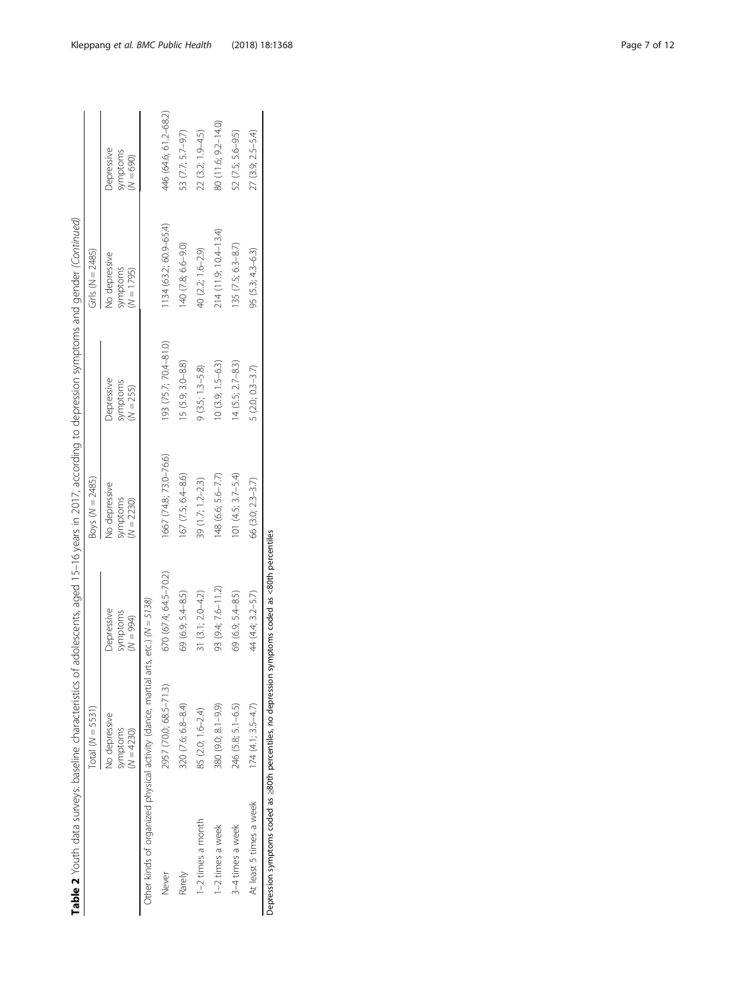|                         | $Total(W = 5531$                                                                      |                                       | Boys ( $N = 2485$ )                       |                                       | Girls (N = 2485)                          |                                       |
|-------------------------|---------------------------------------------------------------------------------------|---------------------------------------|-------------------------------------------|---------------------------------------|-------------------------------------------|---------------------------------------|
|                         | No depressive<br>symptoms<br>$(N = 4230)$                                             | Depressive<br>symptoms<br>$(N = 994)$ | No depressive<br>symptoms<br>$(W = 2230)$ | Depressive<br>symptoms<br>$(N = 255)$ | No depressive<br>symptoms<br>$(N = 1795)$ | Depressive<br>symptoms<br>$(N = 690)$ |
|                         | Other kinds of organized physical activity (dance, martial arts, etc.) ( $N = 5138$ ) |                                       |                                           |                                       |                                           |                                       |
| Never                   | 2957 (70.0; 68.5-71.3)                                                                | 670 (67.4; 64.5-70.2)                 | 1667 (748; 73.0-76.6)                     | 193 (75.7; 70.4-81.0)                 | 134 (63.2; 60.9-65.4)                     | 446 (64.6; 61.2-68.2)                 |
| Rarely                  | 320 (7.6; 6.8-8.4)                                                                    | 69 (6.9; 5.4-8.5)                     | $167$ $(7.5; 6.4-8.6)$                    | 15 (5.9; 3.0-8.8)                     | $140(7.8; 6.6 - 9.0)$                     | 53 (7.7; 5.7-9.7)                     |
| 1-2 times a month       | 85 (2.0; 1.6-2.4)                                                                     | 31 $(3.1; 2.0 - 4.2)$                 | 39 (1.7; 1.2-2.3)                         | $9(3.5; 1.3 - 5.8)$                   | 40 (2.2; 1.6-2.9)                         | 22 (3.2; 1.9-4.5)                     |
| 1-2 times a week        | 380 (9.0; 8.1-9.9)                                                                    | 93 (9.4; 7.6-11.2)                    | 148 (6.6; 5.6–7.7)                        | $10(3.9; 1.5 - 6.3)$                  | 214 (11.9; 10.4-13.4)                     | 80 (11.6; 9.2-14.0)                   |
| 3-4 times a week        | 246 (5.8; 5.1-6.5)                                                                    | 69 (6.9; 5.4-8.5)                     | $101 (4.5; 3.7 - 5.4)$                    | $14$ $(5.5; 2.7 - 8.3)$               | $135(7.5; 6.3 - 8.7)$                     | 52 (7.5; 5.6–9.5)                     |
| At least 5 times a week | $174(4.1; 3.5 - 4.7)$                                                                 | 44 (4.4; 3.2-5.7)                     | 66 (3.0; 2.3-3.7)                         | $5(2.0; 0.3-3.7)$                     | $95(5.3; 4.3 - 6.3)$                      | 27 (3.9; 2.5-5.4)                     |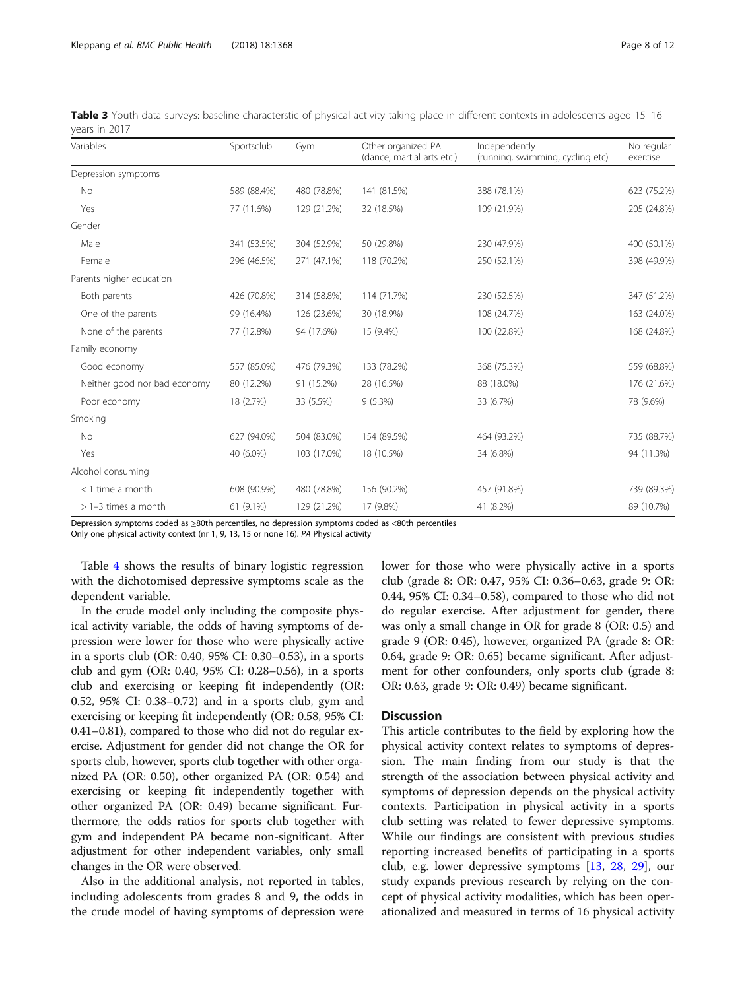| Variables                    | Sportsclub  | Gym         | Other organized PA<br>(dance, martial arts etc.) | Independently<br>(running, swimming, cycling etc) | No regular<br>exercise |
|------------------------------|-------------|-------------|--------------------------------------------------|---------------------------------------------------|------------------------|
| Depression symptoms          |             |             |                                                  |                                                   |                        |
| No                           | 589 (88.4%) | 480 (78.8%) | 141 (81.5%)                                      | 388 (78.1%)                                       | 623 (75.2%)            |
| Yes                          | 77 (11.6%)  | 129 (21.2%) | 32 (18.5%)                                       | 109 (21.9%)                                       | 205 (24.8%)            |
| Gender                       |             |             |                                                  |                                                   |                        |
| Male                         | 341 (53.5%) | 304 (52.9%) | 50 (29.8%)                                       | 230 (47.9%)                                       | 400 (50.1%)            |
| Female                       | 296 (46.5%) | 271 (47.1%) | 118 (70.2%)                                      | 250 (52.1%)                                       | 398 (49.9%)            |
| Parents higher education     |             |             |                                                  |                                                   |                        |
| Both parents                 | 426 (70.8%) | 314 (58.8%) | 114 (71.7%)                                      | 230 (52.5%)                                       | 347 (51.2%)            |
| One of the parents           | 99 (16.4%)  | 126 (23.6%) | 30 (18.9%)                                       | 108 (24.7%)                                       | 163 (24.0%)            |
| None of the parents          | 77 (12.8%)  | 94 (17.6%)  | 15 (9.4%)                                        | 100 (22.8%)                                       | 168 (24.8%)            |
| Family economy               |             |             |                                                  |                                                   |                        |
| Good economy                 | 557 (85.0%) | 476 (79.3%) | 133 (78.2%)                                      | 368 (75.3%)                                       | 559 (68.8%)            |
| Neither good nor bad economy | 80 (12.2%)  | 91 (15.2%)  | 28 (16.5%)                                       | 88 (18.0%)                                        | 176 (21.6%)            |
| Poor economy                 | 18 (2.7%)   | 33 (5.5%)   | 9(5.3%)                                          | 33 (6.7%)                                         | 78 (9.6%)              |
| Smoking                      |             |             |                                                  |                                                   |                        |
| No                           | 627 (94.0%) | 504 (83.0%) | 154 (89.5%)                                      | 464 (93.2%)                                       | 735 (88.7%)            |
| Yes                          | 40 (6.0%)   | 103 (17.0%) | 18 (10.5%)                                       | 34 (6.8%)                                         | 94 (11.3%)             |
| Alcohol consuming            |             |             |                                                  |                                                   |                        |
| $<$ 1 time a month           | 608 (90.9%) | 480 (78.8%) | 156 (90.2%)                                      | 457 (91.8%)                                       | 739 (89.3%)            |
| $> 1-3$ times a month        | 61 (9.1%)   | 129 (21.2%) | 17 (9.8%)                                        | 41 (8.2%)                                         | 89 (10.7%)             |

<span id="page-7-0"></span>

|               |  |  |  |  |  | Table 3 Youth data surveys: baseline characterstic of physical activity taking place in different contexts in adolescents aged 15-16 |  |
|---------------|--|--|--|--|--|--------------------------------------------------------------------------------------------------------------------------------------|--|
| vears in 2017 |  |  |  |  |  |                                                                                                                                      |  |

Depression symptoms coded as ≥80th percentiles, no depression symptoms coded as <80th percentiles

Only one physical activity context (nr 1, 9, 13, 15 or none 16). PA Physical activity

Table [4](#page-8-0) shows the results of binary logistic regression with the dichotomised depressive symptoms scale as the dependent variable.

In the crude model only including the composite physical activity variable, the odds of having symptoms of depression were lower for those who were physically active in a sports club (OR: 0.40, 95% CI: 0.30–0.53), in a sports club and gym (OR: 0.40, 95% CI: 0.28–0.56), in a sports club and exercising or keeping fit independently (OR: 0.52, 95% CI: 0.38–0.72) and in a sports club, gym and exercising or keeping fit independently (OR: 0.58, 95% CI: 0.41–0.81), compared to those who did not do regular exercise. Adjustment for gender did not change the OR for sports club, however, sports club together with other organized PA (OR: 0.50), other organized PA (OR: 0.54) and exercising or keeping fit independently together with other organized PA (OR: 0.49) became significant. Furthermore, the odds ratios for sports club together with gym and independent PA became non-significant. After adjustment for other independent variables, only small changes in the OR were observed.

Also in the additional analysis, not reported in tables, including adolescents from grades 8 and 9, the odds in the crude model of having symptoms of depression were lower for those who were physically active in a sports club (grade 8: OR: 0.47, 95% CI: 0.36–0.63, grade 9: OR: 0.44, 95% CI: 0.34–0.58), compared to those who did not do regular exercise. After adjustment for gender, there was only a small change in OR for grade 8 (OR: 0.5) and grade 9 (OR: 0.45), however, organized PA (grade 8: OR: 0.64, grade 9: OR: 0.65) became significant. After adjustment for other confounders, only sports club (grade 8: OR: 0.63, grade 9: OR: 0.49) became significant.

# **Discussion**

This article contributes to the field by exploring how the physical activity context relates to symptoms of depression. The main finding from our study is that the strength of the association between physical activity and symptoms of depression depends on the physical activity contexts. Participation in physical activity in a sports club setting was related to fewer depressive symptoms. While our findings are consistent with previous studies reporting increased benefits of participating in a sports club, e.g. lower depressive symptoms [\[13,](#page-11-0) [28,](#page-11-0) [29](#page-11-0)], our study expands previous research by relying on the concept of physical activity modalities, which has been operationalized and measured in terms of 16 physical activity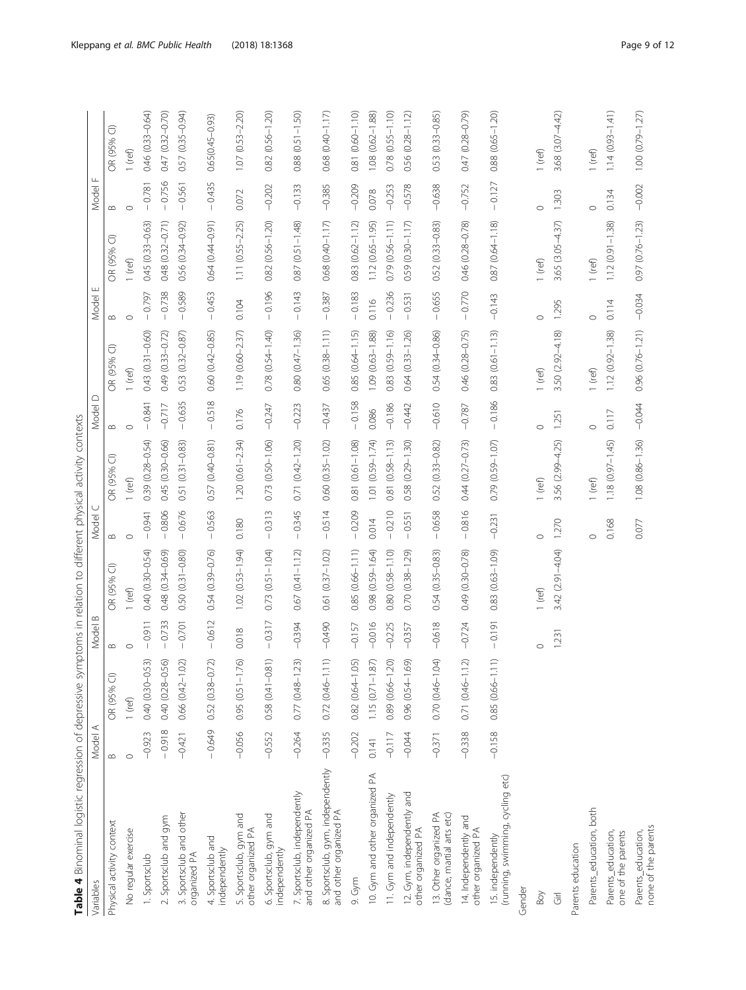<span id="page-8-0"></span>

| Table 4 Binominal logistic regression of depressive symptoms in relation to different physical activity<br>Variables | Model A  |                        | $\!\! \simeq$<br>Model |                             | Model                 |                         | ≏<br>Model<br>contexts |                                    | ш<br>Model                        |                             | ш.<br>Model |                             |
|----------------------------------------------------------------------------------------------------------------------|----------|------------------------|------------------------|-----------------------------|-----------------------|-------------------------|------------------------|------------------------------------|-----------------------------------|-----------------------------|-------------|-----------------------------|
| Physical activity context                                                                                            | $\infty$ | OR (95% CI)            | $\infty$               | $\widehat{\cup}$<br>OR (95% | $\infty$              | OR (95% CI)             | $\infty$               | $\widehat{\cup}$<br><b>OR (95%</b> | $\infty$                          | $\widehat{\cup}$<br>OR (95% | $\infty$    | $\widehat{\cup}$<br>OR (95% |
| No regular exercise                                                                                                  | $\circ$  | $1$ (ref)              | $\circ$                | $1$ (ref)                   | $\circ$               | $1$ (ref)               | $\circ$                | $1$ (ref)                          | $\circ$                           | $1$ (ref)                   | $\circ$     | $1$ (ref)                   |
| 1. Sportsclub                                                                                                        | $-0.923$ | $0.40(0.30 - 0.53)$    | $-0.911$               | $0.40(0.30 - 0.54)$         | $-0.941$              | 0.39 (0.28-0.54)        | $-0.841$               | $0.43(0.31 - 0.60)$                | 0.797<br>$\overline{\phantom{a}}$ | 0.45 (0.33-0.63)            | $-0.781$    | $0.46(0.33 - 0.64)$         |
| 2. Sportsclub and gym                                                                                                | $-0.918$ | $0.40(0.28 - 0.56)$    | $-0.733$               | 0.48 (0.34-0.69)            | $-0.806$              | $0.45(0.30 - 0.66)$     | $-0.717$               | $0.49(0.33 - 0.72)$                | 0.738                             | 0.48 (0.32-0.71)            | $-0.756$    | $0.47$ $(0.32 - 0.70)$      |
| 3. Sportsclub and other<br>organized PA                                                                              | $-0.421$ | 0.66 (0.42-1.02)       | $-0.701$               | $0.50(0.31 - 0.80)$         | 0.676<br>$\mathbb{I}$ | $(0.31 - 0.83)$<br>0.51 | $-0.635$               | 0.53 (0.32-0.87)                   | 0.589                             | 0.56 (0.34-0.92)            | $-0.561$    | 0.57 (0.35-0.94)            |
| 4. Sportsclub and<br>independently                                                                                   | $-0.649$ | $0.52(0.38 - 0.72)$    | $-0.612$               | $0.54(0.39 - 0.76)$         | $-0.563$              | 0.57 (0.40-0.81)        | $-0.518$               | $0.60(0.42 - 0.85)$                | $-0.453$                          | $0.64(0.44 - 0.91)$         | $-0.435$    | $0.65(0.45 - 0.93)$         |
| 5. Sportsclub, gym and<br>other organized PA                                                                         | $-0.056$ | $0.95$ $(0.51 - 1.76)$ | 0.018                  | $1.02(0.53 - 1.94)$         | 0.180                 | $1.20(0.61 - 2.34)$     | 0.176                  | $1.19(0.60 - 2.37)$                | 0.104                             | 1.11 (0.55-2.25)            | 0.072       | $(0.53 - 2.20)$<br>1.07     |
| 6. Sportsclub, gym and<br>independently                                                                              | $-0.552$ | $0.58$ $(0.41 - 0.81)$ | $-0.317$               | $0.73(0.51 - 1.04)$         | 0.313<br>$\mathbf{I}$ | $0.73(0.50 - 1.06)$     | $-0.247$               | $0.78$ $(0.54 - 1.40)$             | $-0.196$                          | $0.82(0.56 - 1.20)$         | $-0.202$    | $(0.56 - 1.20)$<br>0.82     |
| 7. Sportsclub, independently<br>and other organized PA                                                               | $-0.264$ | $0.77$ $(0.48 - 1.23)$ | $-0.394$               | $(0.41 - 1.12)$<br>0.67     | 0.345<br>$\mathbf{I}$ | $(0.42 - 1.20)$<br>0.71 | $-0.223$               | $0.80(0.47 - 1.36)$                | 0.143<br>$\mathbb{I}$             | $0.87(0.51 - 1.48)$         | $-0.133$    | $(0.51 - 1.50)$<br>0.88     |
| 8. Sportsclub, gym, independently<br>and other organized PA                                                          | $-0.335$ | $0.72(0.46 - 1.11)$    | $-0.490$               | $(0.37 - 1.02)$<br>0.61     | $-0.514$              | $0.60(0.35 - 1.02)$     | $-0.437$               | $0.65(0.38 - 1.11)$                | $-0.387$                          | 0.68 (0.40-1.17)            | $-0.385$    | $(0.40 - 1.17)$<br>0.68     |
| 9. Gym                                                                                                               | $-0.202$ | $0.82(0.64 - 1.05)$    | $-0.157$               | $0.85(0.66 - 1.11)$         | $-0.209$              | 0.81 (0.61-1.08)        | $-0.158$               | $0.85(0.64 - 1.15)$                | 0.183                             | 0.83 (0.62-1.12)            | $-0.209$    | 0.81 (0.60-1.10)            |
| 10. Gym and other organized PA                                                                                       | 0.141    | $1.15(0.71 - 1.87)$    | $-0.016$               | $0.98(0.59 - 1.64)$         | 0.014                 | 1.01 (0.59-1.74)        | 0.086                  | $1.09(0.63 - 1.88)$                | 0.116                             | $1.12(0.65 - 1.95)$         | 0.078       | $(0.62 - 1.88)$<br>1.08     |
| 11. Gym and independently                                                                                            | $-0.117$ | 0.89 (0.66-1.20)       | $-0.225$               | $0.80(0.58 - 1.10)$         | $-0.210$              | $(0.58 - 1.13)$<br>0.81 | $-0.186$               | $0.83(0.59 - 1.16)$                | 0.236                             | 0.79 (0.56-1.11)            | $-0.253$    | $(0.55 - 1.10)$<br>0.78     |
| 12. Gym, independently and<br>other organized PA                                                                     | $-0.044$ | $0.96$ $(0.54 - 1.69)$ | $-0.357$               | $0.70(0.38 - 1.29)$         | $-0.551$              | $0.58(0.29 - 1.30)$     | $-0.442$               | $(0.33 - 1.26)$<br>0.64            | 0.531<br>$\mathbf{I}$             | 0.59 (0.30-1.17)            | $-0.578$    | $(0.28 - 1.12)$<br>0.56     |
| 13. Other organized PA<br>(dance, martial arts etc)                                                                  | $-0.371$ | $0.70(0.46 - 1.04)$    | $-0.618$               | $0.54(0.35 - 0.83)$         | $-0.658$              | $0.52(0.33 - 0.82)$     | $-0.610$               | $0.54(0.34 - 0.86)$                | $-0.655$                          | 0.52 (0.33-0.83)            | $-0.638$    | $(0.33 - 0.85)$<br>0.53     |
| 14. Independently and<br>other organized PA                                                                          | $-0.338$ | $0.71 (0.46 - 1.12)$   | $-0.724$               | 0.49 (0.30-0.78)            | $-0.816$              | $0.44(0.27 - 0.73)$     | $-0.787$               | $0.46$ $(0.28 - 0.75)$             | $-0.770$                          | 0.46 (0.28-0.78)            | $-0.752$    | 0.47 (0.28-0.79)            |
| (running, swimming, cycling etc)<br>15. independently                                                                | $-0.158$ | 0.85 (0.66-1.11)       | $-0.191$               | $0.83(0.63 - 1.09)$         | $-0.231$              | $0.79$ $(0.59 - 1.07)$  | $-0.186$               | $0.83$ $(0.61 - 1.13)$             | $-0.143$                          | 0.87 (0.64-1.18)            | $-0.127$    | $0.88$ $(0.65 - 1.20)$      |
| Gender                                                                                                               |          |                        |                        |                             |                       |                         |                        |                                    |                                   |                             |             |                             |
| Boy                                                                                                                  |          |                        | $\circ$                | $1$ (ref)                   | $\circ$               | $1$ (ref)               | $\circ$                | $1$ (ref)                          | $\circ$                           | $1$ (ref)                   | $\circ$     | $1$ (ref)                   |
| $\overline{G}$                                                                                                       |          |                        | 1.231                  | $3.42(2.91 - 4.04)$         | 1.270                 | 3.56 (2.99-4.25)        | 1.251                  | 3.50 (2.92-4.18)                   | 1.295                             | 3.65 (3.05-4.37)            | 1.303       | 3.68 (3.07-4.42)            |
| Parents education                                                                                                    |          |                        |                        |                             |                       |                         |                        |                                    |                                   |                             |             |                             |
| Parents_education, both                                                                                              |          |                        |                        |                             | $\circ$               | $1$ (ref)               | $\circ$                | $1$ (ref)                          | $\circ$                           | $1$ (ref)                   | $\circ$     | $1$ (ref)                   |
| one of the parents<br>Parents_education,                                                                             |          |                        |                        |                             | 0.168                 | $1.18(0.97 - 1.45)$     | 0.117                  | $1.12(0.92 - 1.38)$                | 0.114                             | $1.12(0.91 - 1.38)$         | 0.134       | $1.14(0.93 - 1.41)$         |
| none of the parents<br>Parents_education,                                                                            |          |                        |                        |                             | 0.077                 | $1.08(0.86 - 1.36)$     | $-0.044$               | $0.96(0.76 - 1.21)$                | $-0.034$                          | 0.97 (0.76-1.23)            | $-0.002$    | $1.00(0.79 - 1.27)$         |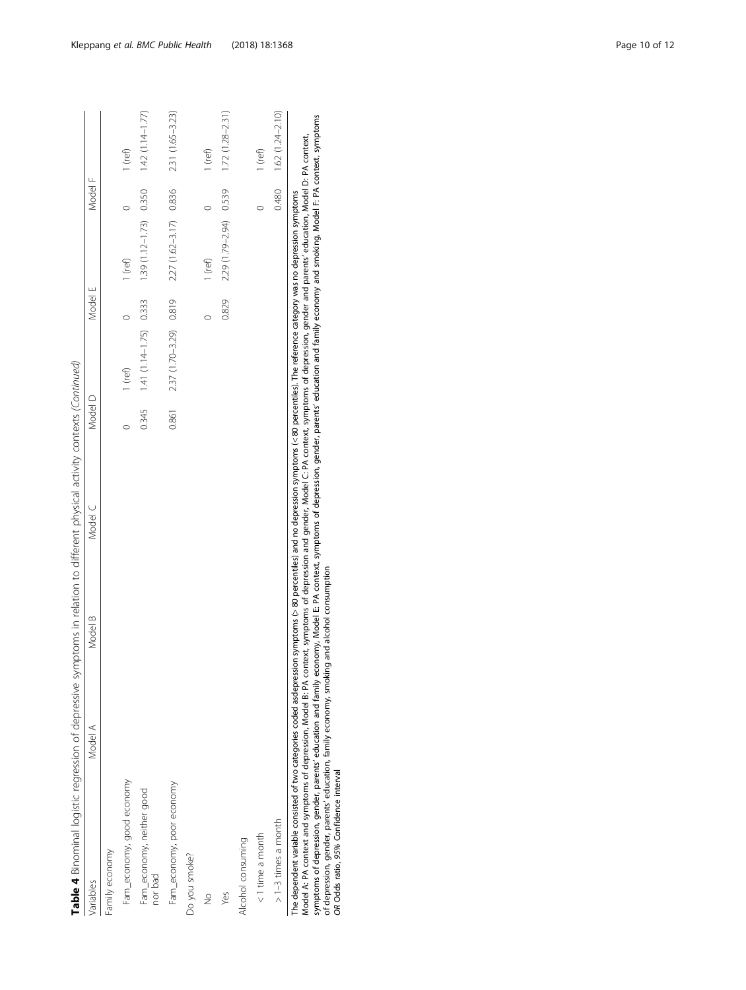| Table 4 Binominal logistic regression of depressive symptoms in relation to different physical activity contexts (Continued)                                                                                                                                                                                                                                                                                                                                                                                                                                                                                                                                                                                                                                           |         |         |         |         |                           |         |                           |         |                     |
|------------------------------------------------------------------------------------------------------------------------------------------------------------------------------------------------------------------------------------------------------------------------------------------------------------------------------------------------------------------------------------------------------------------------------------------------------------------------------------------------------------------------------------------------------------------------------------------------------------------------------------------------------------------------------------------------------------------------------------------------------------------------|---------|---------|---------|---------|---------------------------|---------|---------------------------|---------|---------------------|
| Variables                                                                                                                                                                                                                                                                                                                                                                                                                                                                                                                                                                                                                                                                                                                                                              | Model A | Model B | Model C | Model D |                           | Model E |                           | Model F |                     |
| Family economy                                                                                                                                                                                                                                                                                                                                                                                                                                                                                                                                                                                                                                                                                                                                                         |         |         |         |         |                           |         |                           |         |                     |
| Fam_economy, good economy                                                                                                                                                                                                                                                                                                                                                                                                                                                                                                                                                                                                                                                                                                                                              |         |         |         |         | $1$ (ref)                 |         | $1$ (ref)                 |         | $1$ (ref)           |
| Fam_economy, neither good<br>nor bad                                                                                                                                                                                                                                                                                                                                                                                                                                                                                                                                                                                                                                                                                                                                   |         |         |         | 0.345   | $1.41(1.14 - 1.75)$ 0.333 |         | $1.39(1.12 - 1.73)$ 0.350 |         | $1.42(1.14 - 1.77)$ |
| Fam_economy, poor economy                                                                                                                                                                                                                                                                                                                                                                                                                                                                                                                                                                                                                                                                                                                                              |         |         |         | 0.861   | 2.37 (1.70-3.29) 0.819    |         | 2.27 (1.62-3.17) 0.836    |         | 2.31 (1.65-3.23)    |
| Do you smoke?                                                                                                                                                                                                                                                                                                                                                                                                                                                                                                                                                                                                                                                                                                                                                          |         |         |         |         |                           |         |                           |         |                     |
| $\frac{1}{2}$                                                                                                                                                                                                                                                                                                                                                                                                                                                                                                                                                                                                                                                                                                                                                          |         |         |         |         |                           |         | $1$ (ref)                 |         | $1$ (ref)           |
| Yes                                                                                                                                                                                                                                                                                                                                                                                                                                                                                                                                                                                                                                                                                                                                                                    |         |         |         |         |                           | 0.829   | 2.29 (1.79–2.94) 0.539    |         | $1.72(1.28 - 2.31)$ |
| Alcohol consuming                                                                                                                                                                                                                                                                                                                                                                                                                                                                                                                                                                                                                                                                                                                                                      |         |         |         |         |                           |         |                           |         |                     |
| <1 time a month                                                                                                                                                                                                                                                                                                                                                                                                                                                                                                                                                                                                                                                                                                                                                        |         |         |         |         |                           |         |                           |         | $1$ (ref)           |
| $> 1-3$ times a month                                                                                                                                                                                                                                                                                                                                                                                                                                                                                                                                                                                                                                                                                                                                                  |         |         |         |         |                           |         |                           | 0.480   | $1.62(1.24 - 2.10)$ |
| symptoms of depression, gender, parents' education and family economy, Model E: PA context, symptoms of depression, gender, parents' education and family economy and smoking, Model F: PA context, symptoms<br>Model A: PA context and symptoms of depression, Model B: PA context, symptoms of depression and gender. Model C: PA context, symptoms of depression, gender and parents' education, Model D: PA context,<br>The dependent variable consisted of two categories coded asdepression symptoms (> 80 percentiles) and no depression symptoms (< 80 percentiles). The reference category was no depression symptoms<br>of depression, gender, parents' education, family economy, smoking and alcohol consumption<br>OR Odds ratio, 95% Confidence interval |         |         |         |         |                           |         |                           |         |                     |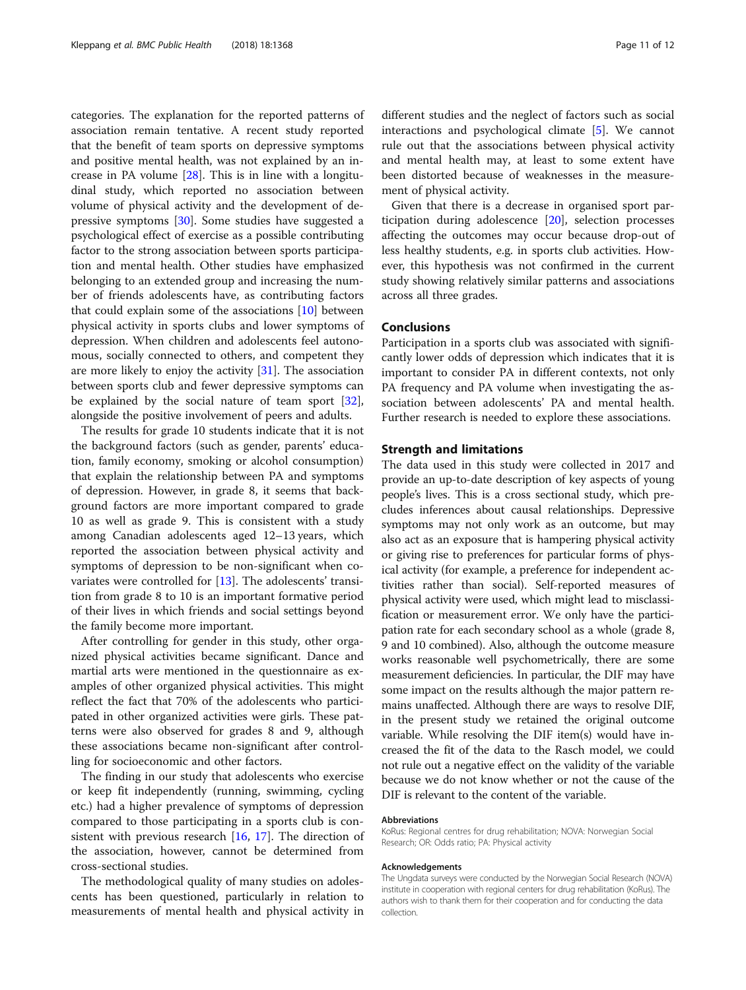categories. The explanation for the reported patterns of association remain tentative. A recent study reported that the benefit of team sports on depressive symptoms and positive mental health, was not explained by an increase in PA volume [[28\]](#page-11-0). This is in line with a longitudinal study, which reported no association between volume of physical activity and the development of depressive symptoms [\[30\]](#page-11-0). Some studies have suggested a psychological effect of exercise as a possible contributing factor to the strong association between sports participation and mental health. Other studies have emphasized belonging to an extended group and increasing the number of friends adolescents have, as contributing factors that could explain some of the associations  $[10]$  $[10]$  $[10]$  between physical activity in sports clubs and lower symptoms of depression. When children and adolescents feel autonomous, socially connected to others, and competent they are more likely to enjoy the activity [\[31](#page-11-0)]. The association between sports club and fewer depressive symptoms can be explained by the social nature of team sport [\[32](#page-11-0)], alongside the positive involvement of peers and adults.

The results for grade 10 students indicate that it is not the background factors (such as gender, parents' education, family economy, smoking or alcohol consumption) that explain the relationship between PA and symptoms of depression. However, in grade 8, it seems that background factors are more important compared to grade 10 as well as grade 9. This is consistent with a study among Canadian adolescents aged 12–13 years, which reported the association between physical activity and symptoms of depression to be non-significant when covariates were controlled for [\[13](#page-11-0)]. The adolescents' transition from grade 8 to 10 is an important formative period of their lives in which friends and social settings beyond the family become more important.

After controlling for gender in this study, other organized physical activities became significant. Dance and martial arts were mentioned in the questionnaire as examples of other organized physical activities. This might reflect the fact that 70% of the adolescents who participated in other organized activities were girls. These patterns were also observed for grades 8 and 9, although these associations became non-significant after controlling for socioeconomic and other factors.

The finding in our study that adolescents who exercise or keep fit independently (running, swimming, cycling etc.) had a higher prevalence of symptoms of depression compared to those participating in a sports club is consistent with previous research  $[16, 17]$  $[16, 17]$  $[16, 17]$  $[16, 17]$  $[16, 17]$ . The direction of the association, however, cannot be determined from cross-sectional studies.

The methodological quality of many studies on adolescents has been questioned, particularly in relation to measurements of mental health and physical activity in different studies and the neglect of factors such as social interactions and psychological climate [[5\]](#page-11-0). We cannot rule out that the associations between physical activity and mental health may, at least to some extent have been distorted because of weaknesses in the measurement of physical activity.

Given that there is a decrease in organised sport participation during adolescence [\[20\]](#page-11-0), selection processes affecting the outcomes may occur because drop-out of less healthy students, e.g. in sports club activities. However, this hypothesis was not confirmed in the current study showing relatively similar patterns and associations across all three grades.

# Conclusions

Participation in a sports club was associated with significantly lower odds of depression which indicates that it is important to consider PA in different contexts, not only PA frequency and PA volume when investigating the association between adolescents' PA and mental health. Further research is needed to explore these associations.

# Strength and limitations

The data used in this study were collected in 2017 and provide an up-to-date description of key aspects of young people's lives. This is a cross sectional study, which precludes inferences about causal relationships. Depressive symptoms may not only work as an outcome, but may also act as an exposure that is hampering physical activity or giving rise to preferences for particular forms of physical activity (for example, a preference for independent activities rather than social). Self-reported measures of physical activity were used, which might lead to misclassification or measurement error. We only have the participation rate for each secondary school as a whole (grade 8, 9 and 10 combined). Also, although the outcome measure works reasonable well psychometrically, there are some measurement deficiencies. In particular, the DIF may have some impact on the results although the major pattern remains unaffected. Although there are ways to resolve DIF, in the present study we retained the original outcome variable. While resolving the DIF item(s) would have increased the fit of the data to the Rasch model, we could not rule out a negative effect on the validity of the variable because we do not know whether or not the cause of the DIF is relevant to the content of the variable.

#### Abbreviations

KoRus: Regional centres for drug rehabilitation; NOVA: Norwegian Social Research; OR: Odds ratio; PA: Physical activity

#### Acknowledgements

The Ungdata surveys were conducted by the Norwegian Social Research (NOVA) institute in cooperation with regional centers for drug rehabilitation (KoRus). The authors wish to thank them for their cooperation and for conducting the data collection.